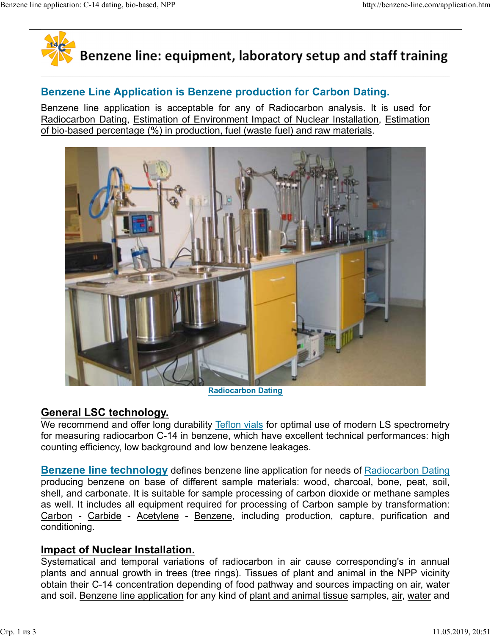

# Benzene Line Application is Benzene production for Carbon Dating.

Benzene line application is acceptable for any of Radiocarbon analysis. It is used for Radiocarbon Dating, Estimation of Environment Impact of Nuclear Installation, Estimation of bio-based percentage (%) in production, fuel (waste fuel) and raw materials.



Radiocarbon Dating

# General LSC technology.

We recommend and offer long durability Teflon vials for optimal use of modern LS spectrometry for measuring radiocarbon C-14 in benzene, which have excellent technical performances: high counting efficiency, low background and low benzene leakages.

**Benzene line technology** defines benzene line application for needs of Radiocarbon Dating producing benzene on base of different sample materials: wood, charcoal, bone, peat, soil, shell, and carbonate. It is suitable for sample processing of carbon dioxide or methane samples as well. It includes all equipment required for processing of Carbon sample by transformation: conditioning.

### Impact of Nuclear Installation.

Systematical and temporal variations of radiocarbon in air cause corresponding's in annual plants and annual growth in trees (tree rings). Tissues of plant and animal in the NPP vicinity obtain their C-14 concentration depending of food pathway and sources impacting on air, water and soil. Benzene line application for any kind of plant and animal tissue samples, air, water and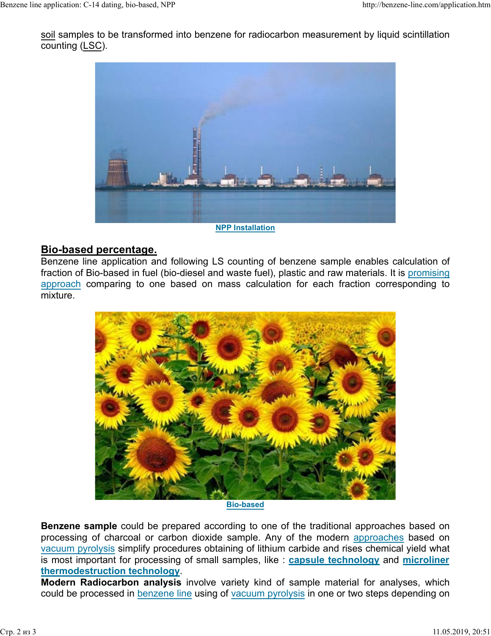soil samples to be transformed into benzene for radiocarbon measurement by liquid scintillation counting (LSC). Benzene line application: C-14 dating, bio-based, NPP http://benzene-line.com/application.htm<br>
<u>soil</u> samples to be transformed into benzene for radiocarbon measurement by liquid scintillation<br>
counting (LSC).



NPP Installation

### Bio-based percentage.

Benzene line application and following LS counting of benzene sample enables calculation of fraction of Bio-based in fuel (bio-diesel and waste fuel), plastic and raw materials. It is promising approach comparing to one based on mass calculation for each fraction corresponding to mixture.



Bio-based

**Benzene sample** could be prepared according to one of the traditional approaches based on processing of charcoal or carbon dioxide sample. Any of the modern approaches based on vacuum pyrolysis simplify procedures obtaining of lithium carbide and rises chemical yield what is most important for processing of small samples, like : capsule technology and microliner thermodestruction technology.

Modern Radiocarbon analysis involve variety kind of sample material for analyses, which could be processed in benzene line using of vacuum pyrolysis in one or two steps depending on